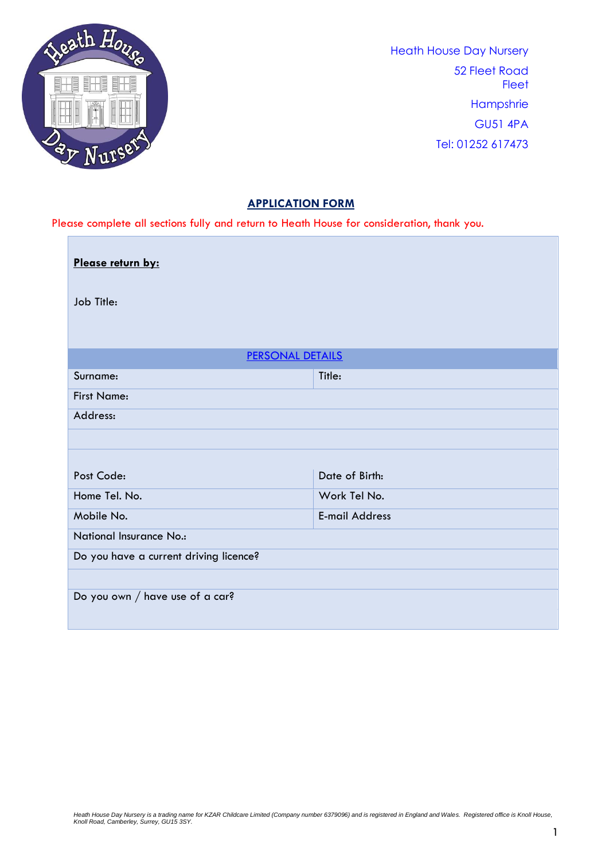

Г

Heath House Day Nursery 52 Fleet Road **Fleet Hampshrie** GU51 4PA Tel: 01252 617473

## **APPLICATION FORM**

Please complete all sections fully and return to Heath House for consideration, thank you.

| Please return by:                      |                       |  |  |  |
|----------------------------------------|-----------------------|--|--|--|
| Job Title:                             |                       |  |  |  |
|                                        |                       |  |  |  |
| <b>PERSONAL DETAILS</b>                |                       |  |  |  |
| Surname:                               | Title:                |  |  |  |
| <b>First Name:</b>                     |                       |  |  |  |
| Address:                               |                       |  |  |  |
|                                        |                       |  |  |  |
|                                        |                       |  |  |  |
| Post Code:                             | Date of Birth:        |  |  |  |
| Home Tel. No.                          | Work Tel No.          |  |  |  |
| Mobile No.                             | <b>E-mail Address</b> |  |  |  |
| <b>National Insurance No.:</b>         |                       |  |  |  |
| Do you have a current driving licence? |                       |  |  |  |
|                                        |                       |  |  |  |
| Do you own / have use of a car?        |                       |  |  |  |
|                                        |                       |  |  |  |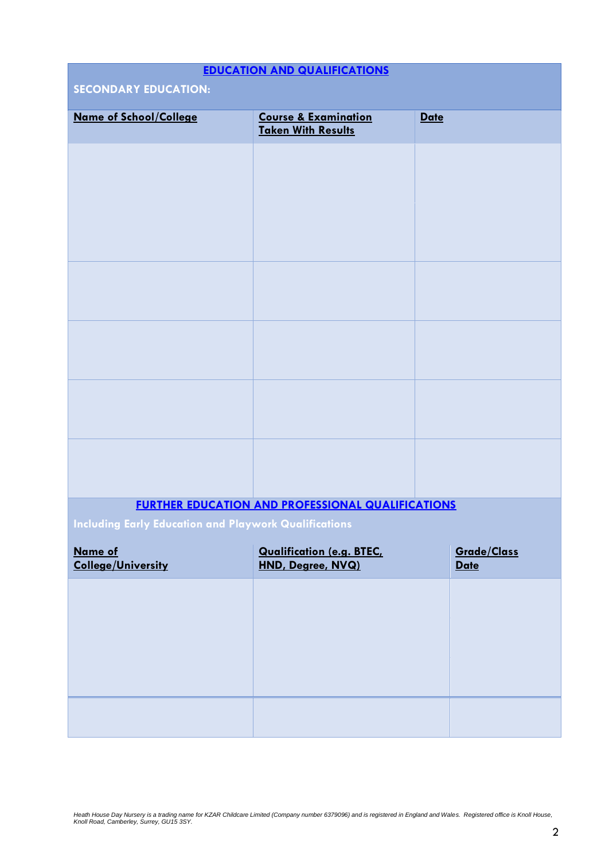# **EDUCATION AND QUALIFICATIONS SECONDARY EDUCATION: Name of School/College Course & Examination Taken With Results Date FURTHER EDUCATION AND PROFESSIONAL QUALIFICATIONS Including Early Education and Playwork Qualifications Name of College/University Qualification (e.g. BTEC, HND, Degree, NVQ) Grade/Class Date**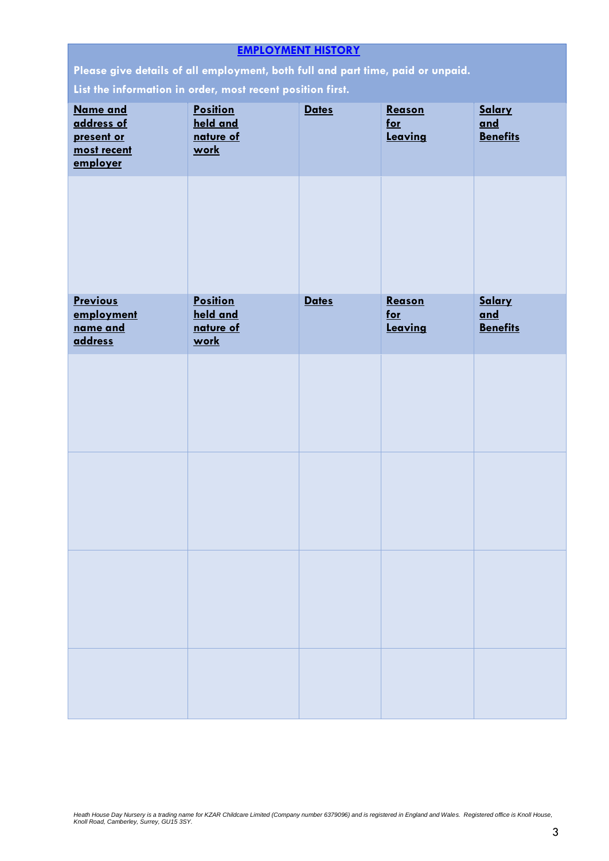| <b>EMPLOYMENT HISTORY</b>                                                       |                       |              |                  |                        |  |  |  |
|---------------------------------------------------------------------------------|-----------------------|--------------|------------------|------------------------|--|--|--|
| Please give details of all employment, both full and part time, paid or unpaid. |                       |              |                  |                        |  |  |  |
| List the information in order, most recent position first.                      |                       |              |                  |                        |  |  |  |
| Name and                                                                        | <b>Position</b>       | <b>Dates</b> | Reason           | Salary                 |  |  |  |
| address of<br>present or                                                        | held and<br>nature of |              | $for$<br>Leaving | and<br><b>Benefits</b> |  |  |  |
| most recent                                                                     | <u>work</u>           |              |                  |                        |  |  |  |
| employer                                                                        |                       |              |                  |                        |  |  |  |
|                                                                                 |                       |              |                  |                        |  |  |  |
|                                                                                 |                       |              |                  |                        |  |  |  |
|                                                                                 |                       |              |                  |                        |  |  |  |
|                                                                                 |                       |              |                  |                        |  |  |  |
|                                                                                 |                       |              |                  |                        |  |  |  |
|                                                                                 |                       |              |                  |                        |  |  |  |
| <b>Previous</b>                                                                 | <b>Position</b>       | <b>Dates</b> | Reason           | Salary                 |  |  |  |
| employment                                                                      | held and              |              | $f$ or           | and                    |  |  |  |
| name and<br><b>address</b>                                                      | nature of<br>work     |              | Leaving          | <b>Benefits</b>        |  |  |  |
|                                                                                 |                       |              |                  |                        |  |  |  |
|                                                                                 |                       |              |                  |                        |  |  |  |
|                                                                                 |                       |              |                  |                        |  |  |  |
|                                                                                 |                       |              |                  |                        |  |  |  |
|                                                                                 |                       |              |                  |                        |  |  |  |
|                                                                                 |                       |              |                  |                        |  |  |  |
|                                                                                 |                       |              |                  |                        |  |  |  |
|                                                                                 |                       |              |                  |                        |  |  |  |
|                                                                                 |                       |              |                  |                        |  |  |  |
|                                                                                 |                       |              |                  |                        |  |  |  |
|                                                                                 |                       |              |                  |                        |  |  |  |
|                                                                                 |                       |              |                  |                        |  |  |  |
|                                                                                 |                       |              |                  |                        |  |  |  |
|                                                                                 |                       |              |                  |                        |  |  |  |
|                                                                                 |                       |              |                  |                        |  |  |  |
|                                                                                 |                       |              |                  |                        |  |  |  |
|                                                                                 |                       |              |                  |                        |  |  |  |
|                                                                                 |                       |              |                  |                        |  |  |  |
|                                                                                 |                       |              |                  |                        |  |  |  |
|                                                                                 |                       |              |                  |                        |  |  |  |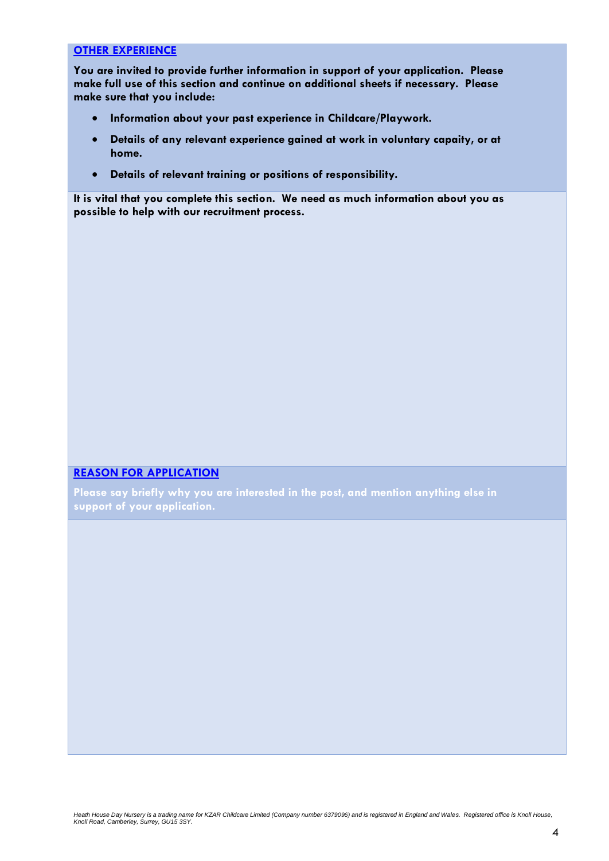## **OTHER EXPERIENCE**

**You are invited to provide further information in support of your application. Please make full use of this section and continue on additional sheets if necessary. Please make sure that you include:**

- **Information about your past experience in Childcare/Playwork.**
- **Details of any relevant experience gained at work in voluntary capaity, or at home.**
- **Details of relevant training or positions of responsibility.**

**It is vital that you complete this section. We need as much information about you as possible to help with our recruitment process.**

#### **REASON FOR APPLICATION**

**Please say briefly why you are interested in the post, and mention anything else in support of your application.**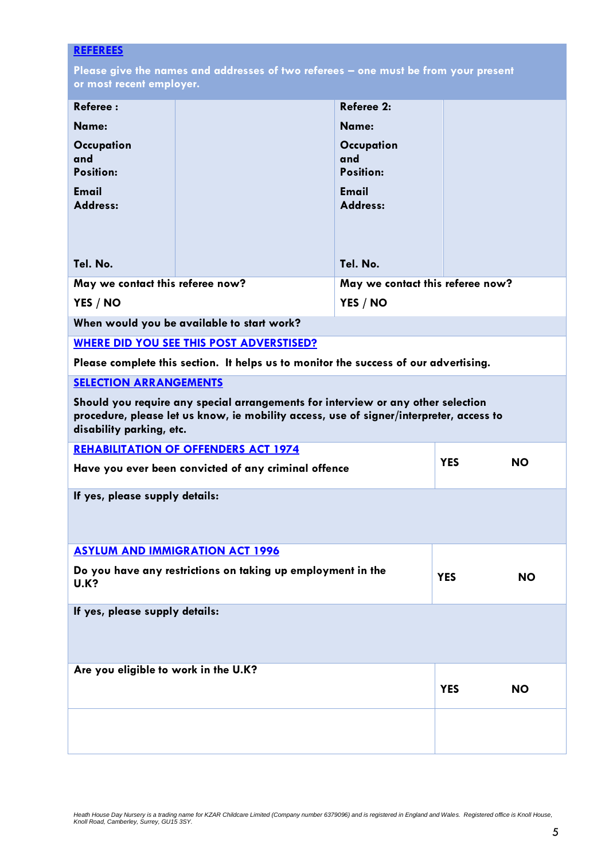## **REFEREES**

**Please give the names and addresses of two referees – one must be from your present or most recent employer.**

| <b>Referee:</b>                                                                                                                                                                                         |                                                                                      | Referee 2:                            |            |           |  |  |
|---------------------------------------------------------------------------------------------------------------------------------------------------------------------------------------------------------|--------------------------------------------------------------------------------------|---------------------------------------|------------|-----------|--|--|
| Name:                                                                                                                                                                                                   |                                                                                      | Name:                                 |            |           |  |  |
| Occupation<br>and<br><b>Position:</b>                                                                                                                                                                   |                                                                                      | Occupation<br>and<br><b>Position:</b> |            |           |  |  |
| <b>Email</b><br><b>Address:</b>                                                                                                                                                                         |                                                                                      | <b>Email</b><br>Address:              |            |           |  |  |
| Tel. No.                                                                                                                                                                                                |                                                                                      | Tel. No.                              |            |           |  |  |
| May we contact this referee now?                                                                                                                                                                        |                                                                                      | May we contact this referee now?      |            |           |  |  |
| YES / NO                                                                                                                                                                                                |                                                                                      | YES / NO                              |            |           |  |  |
|                                                                                                                                                                                                         | When would you be available to start work?                                           |                                       |            |           |  |  |
|                                                                                                                                                                                                         | <b>WHERE DID YOU SEE THIS POST ADVERSTISED?</b>                                      |                                       |            |           |  |  |
|                                                                                                                                                                                                         | Please complete this section. It helps us to monitor the success of our advertising. |                                       |            |           |  |  |
| <b>SELECTION ARRANGEMENTS</b>                                                                                                                                                                           |                                                                                      |                                       |            |           |  |  |
| Should you require any special arrangements for interview or any other selection<br>procedure, please let us know, ie mobility access, use of signer/interpreter, access to<br>disability parking, etc. |                                                                                      |                                       |            |           |  |  |
| <b>REHABILITATION OF OFFENDERS ACT 1974</b>                                                                                                                                                             |                                                                                      |                                       |            |           |  |  |
| Have you ever been convicted of any criminal offence                                                                                                                                                    |                                                                                      |                                       | <b>YES</b> | <b>NO</b> |  |  |
| If yes, please supply details:                                                                                                                                                                          |                                                                                      |                                       |            |           |  |  |
|                                                                                                                                                                                                         | <b>ASYLUM AND IMMIGRATION ACT 1996</b>                                               |                                       |            |           |  |  |
| Do you have any restrictions on taking up employment in the<br><b>U.K?</b>                                                                                                                              |                                                                                      |                                       | <b>YES</b> | <b>NO</b> |  |  |
| If yes, please supply details:                                                                                                                                                                          |                                                                                      |                                       |            |           |  |  |
| Are you eligible to work in the U.K?                                                                                                                                                                    |                                                                                      |                                       | <b>YES</b> | <b>NO</b> |  |  |
|                                                                                                                                                                                                         |                                                                                      |                                       |            |           |  |  |